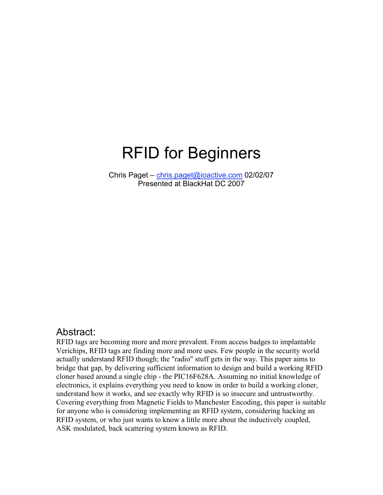# RFID for Beginners

Chris Paget – chris.paget@ioactive.com 02/02/07 Presented at BlackHat DC 2007

### Abstract:

RFID tags are becoming more and more prevalent. From access badges to implantable Verichips, RFID tags are finding more and more uses. Few people in the security world actually understand RFID though; the "radio" stuff gets in the way. This paper aims to bridge that gap, by delivering sufficient information to design and build a working RFID cloner based around a single chip - the PIC16F628A. Assuming no initial knowledge of electronics, it explains everything you need to know in order to build a working cloner, understand how it works, and see exactly why RFID is so insecure and untrustworthy. Covering everything from Magnetic Fields to Manchester Encoding, this paper is suitable for anyone who is considering implementing an RFID system, considering hacking an RFID system, or who just wants to know a little more about the inductively coupled, ASK modulated, back scattering system known as RFID.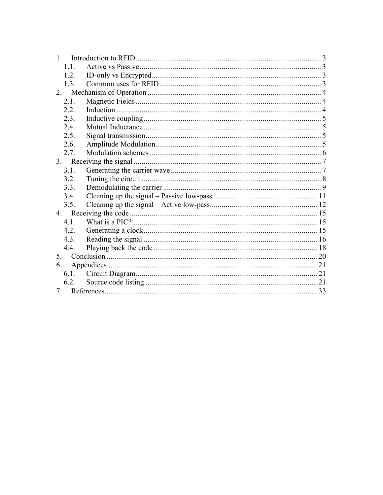| $\mathbf{1}$                   |  |  |
|--------------------------------|--|--|
| 1.1.                           |  |  |
| 1.2.                           |  |  |
| 1.3.                           |  |  |
| 2                              |  |  |
| 2.1.                           |  |  |
| 2.2                            |  |  |
| 2.3.                           |  |  |
| 2.4.                           |  |  |
| 2.5.                           |  |  |
| 2.6.                           |  |  |
| 2.7.                           |  |  |
|                                |  |  |
| 3.1.                           |  |  |
| 3.2.                           |  |  |
| 3.3.                           |  |  |
| 3.4.                           |  |  |
| 3.5.                           |  |  |
|                                |  |  |
| 4.1.                           |  |  |
| 4.2.                           |  |  |
| 4.3.                           |  |  |
| 4.4.                           |  |  |
| 5 <sub>1</sub>                 |  |  |
| 6.                             |  |  |
| 6.1.                           |  |  |
| 6.2.                           |  |  |
| $7_{\scriptscriptstyle{\sim}}$ |  |  |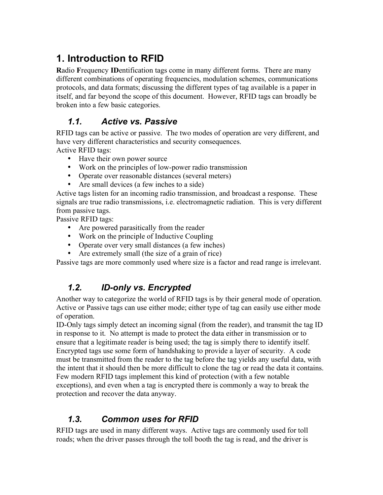# **1. Introduction to RFID**

**R**adio **F**requency **ID**entification tags come in many different forms. There are many different combinations of operating frequencies, modulation schemes, communications protocols, and data formats; discussing the different types of tag available is a paper in itself, and far beyond the scope of this document. However, RFID tags can broadly be broken into a few basic categories.

### *1.1. Active vs. Passive*

RFID tags can be active or passive. The two modes of operation are very different, and have very different characteristics and security consequences.

Active RFID tags:

- Have their own power source
- Work on the principles of low-power radio transmission
- Operate over reasonable distances (several meters)
- Are small devices (a few inches to a side)

Active tags listen for an incoming radio transmission, and broadcast a response. These signals are true radio transmissions, i.e. electromagnetic radiation. This is very different from passive tags.

Passive RFID tags:

- Are powered parasitically from the reader
- Work on the principle of Inductive Coupling
- Operate over very small distances (a few inches)
- Are extremely small (the size of a grain of rice)

Passive tags are more commonly used where size is a factor and read range is irrelevant.

### *1.2. ID-only vs. Encrypted*

Another way to categorize the world of RFID tags is by their general mode of operation. Active or Passive tags can use either mode; either type of tag can easily use either mode of operation.

ID-Only tags simply detect an incoming signal (from the reader), and transmit the tag ID in response to it. No attempt is made to protect the data either in transmission or to ensure that a legitimate reader is being used; the tag is simply there to identify itself. Encrypted tags use some form of handshaking to provide a layer of security. A code must be transmitted from the reader to the tag before the tag yields any useful data, with the intent that it should then be more difficult to clone the tag or read the data it contains. Few modern RFID tags implement this kind of protection (with a few notable exceptions), and even when a tag is encrypted there is commonly a way to break the protection and recover the data anyway.

### *1.3. Common uses for RFID*

RFID tags are used in many different ways. Active tags are commonly used for toll roads; when the driver passes through the toll booth the tag is read, and the driver is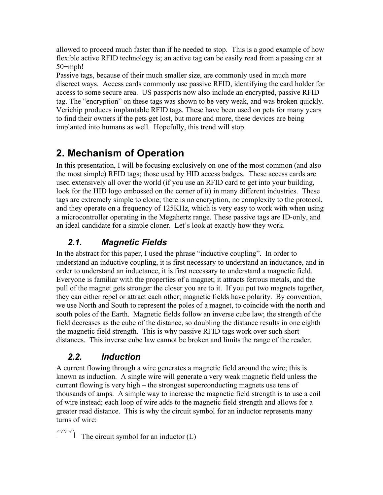allowed to proceed much faster than if he needed to stop. This is a good example of how flexible active RFID technology is; an active tag can be easily read from a passing car at 50+mph!

Passive tags, because of their much smaller size, are commonly used in much more discreet ways. Access cards commonly use passive RFID, identifying the card holder for access to some secure area. US passports now also include an encrypted, passive RFID tag. The "encryption" on these tags was shown to be very weak, and was broken quickly. Verichip produces implantable RFID tags. These have been used on pets for many years to find their owners if the pets get lost, but more and more, these devices are being implanted into humans as well. Hopefully, this trend will stop.

# **2. Mechanism of Operation**

In this presentation, I will be focusing exclusively on one of the most common (and also the most simple) RFID tags; those used by HID access badges. These access cards are used extensively all over the world (if you use an RFID card to get into your building, look for the HID logo embossed on the corner of it) in many different industries. These tags are extremely simple to clone; there is no encryption, no complexity to the protocol, and they operate on a frequency of 125KHz, which is very easy to work with when using a microcontroller operating in the Megahertz range. These passive tags are ID-only, and an ideal candidate for a simple cloner. Let's look at exactly how they work.

### *2.1. Magnetic Fields*

In the abstract for this paper, I used the phrase "inductive coupling". In order to understand an inductive coupling, it is first necessary to understand an inductance, and in order to understand an inductance, it is first necessary to understand a magnetic field. Everyone is familiar with the properties of a magnet; it attracts ferrous metals, and the pull of the magnet gets stronger the closer you are to it. If you put two magnets together, they can either repel or attract each other; magnetic fields have polarity. By convention, we use North and South to represent the poles of a magnet, to coincide with the north and south poles of the Earth. Magnetic fields follow an inverse cube law; the strength of the field decreases as the cube of the distance, so doubling the distance results in one eighth the magnetic field strength. This is why passive RFID tags work over such short distances. This inverse cube law cannot be broken and limits the range of the reader.

### *2.2. Induction*

A current flowing through a wire generates a magnetic field around the wire; this is known as induction. A single wire will generate a very weak magnetic field unless the current flowing is very high – the strongest superconducting magnets use tens of thousands of amps. A simple way to increase the magnetic field strength is to use a coil of wire instead; each loop of wire adds to the magnetic field strength and allows for a greater read distance. This is why the circuit symbol for an inductor represents many turns of wire:

The circuit symbol for an inductor (L)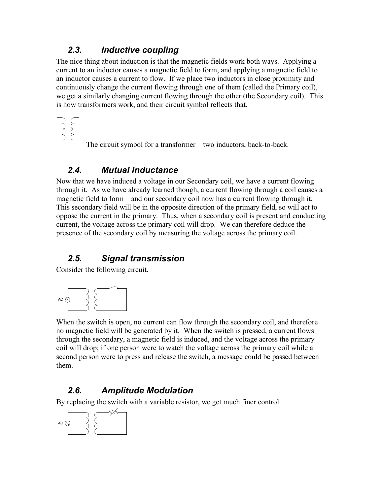### *2.3. Inductive coupling*

The nice thing about induction is that the magnetic fields work both ways. Applying a current to an inductor causes a magnetic field to form, and applying a magnetic field to an inductor causes a current to flow. If we place two inductors in close proximity and continuously change the current flowing through one of them (called the Primary coil), we get a similarly changing current flowing through the other (the Secondary coil). This is how transformers work, and their circuit symbol reflects that.

The circuit symbol for a transformer – two inductors, back-to-back.

### *2.4. Mutual Inductance*

Now that we have induced a voltage in our Secondary coil, we have a current flowing through it. As we have already learned though, a current flowing through a coil causes a magnetic field to form – and our secondary coil now has a current flowing through it. This secondary field will be in the opposite direction of the primary field, so will act to oppose the current in the primary. Thus, when a secondary coil is present and conducting current, the voltage across the primary coil will drop. We can therefore deduce the presence of the secondary coil by measuring the voltage across the primary coil.

### *2.5. Signal transmission*

Consider the following circuit.



When the switch is open, no current can flow through the secondary coil, and therefore no magnetic field will be generated by it. When the switch is pressed, a current flows through the secondary, a magnetic field is induced, and the voltage across the primary coil will drop; if one person were to watch the voltage across the primary coil while a second person were to press and release the switch, a message could be passed between them.

### *2.6. Amplitude Modulation*

By replacing the switch with a variable resistor, we get much finer control.

$$
AC \bigotimes \left\{\begin{matrix} 1 & 1 \\ 1 & 1 \\ 1 & 1 \end{matrix}\right\}
$$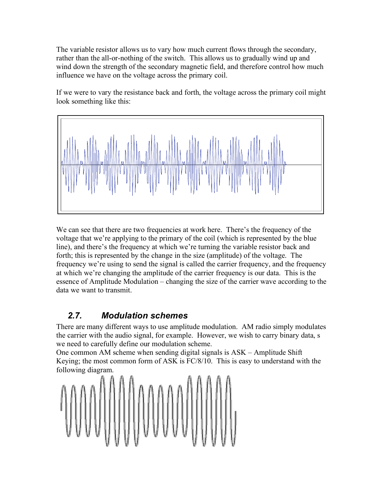The variable resistor allows us to vary how much current flows through the secondary, rather than the all-or-nothing of the switch. This allows us to gradually wind up and wind down the strength of the secondary magnetic field, and therefore control how much influence we have on the voltage across the primary coil.

If we were to vary the resistance back and forth, the voltage across the primary coil might look something like this:



We can see that there are two frequencies at work here. There's the frequency of the voltage that we're applying to the primary of the coil (which is represented by the blue line), and there's the frequency at which we're turning the variable resistor back and forth; this is represented by the change in the size (amplitude) of the voltage. The frequency we're using to send the signal is called the carrier frequency, and the frequency at which we're changing the amplitude of the carrier frequency is our data. This is the essence of Amplitude Modulation – changing the size of the carrier wave according to the data we want to transmit.

### *2.7. Modulation schemes*

There are many different ways to use amplitude modulation. AM radio simply modulates the carrier with the audio signal, for example. However, we wish to carry binary data, s we need to carefully define our modulation scheme.

One common AM scheme when sending digital signals is ASK – Amplitude Shift Keying; the most common form of ASK is FC/8/10. This is easy to understand with the following diagram.

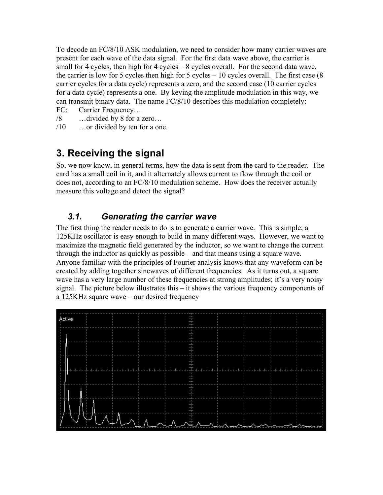To decode an FC/8/10 ASK modulation, we need to consider how many carrier waves are present for each wave of the data signal. For the first data wave above, the carrier is small for 4 cycles, then high for 4 cycles – 8 cycles overall. For the second data wave, the carrier is low for 5 cycles then high for 5 cycles – 10 cycles overall. The first case  $(8$ carrier cycles for a data cycle) represents a zero, and the second case (10 carrier cycles for a data cycle) represents a one. By keying the amplitude modulation in this way, we can transmit binary data. The name FC/8/10 describes this modulation completely:

- FC: Carrier Frequency…
- /8 …divided by 8 for a zero…
- /10 …or divided by ten for a one.

# **3. Receiving the signal**

So, we now know, in general terms, how the data is sent from the card to the reader. The card has a small coil in it, and it alternately allows current to flow through the coil or does not, according to an FC/8/10 modulation scheme. How does the receiver actually measure this voltage and detect the signal?

### *3.1. Generating the carrier wave*

The first thing the reader needs to do is to generate a carrier wave. This is simple; a 125KHz oscillator is easy enough to build in many different ways. However, we want to maximize the magnetic field generated by the inductor, so we want to change the current through the inductor as quickly as possible – and that means using a square wave. Anyone familiar with the principles of Fourier analysis knows that any waveform can be created by adding together sinewaves of different frequencies. As it turns out, a square wave has a very large number of these frequencies at strong amplitudes; it's a very noisy signal. The picture below illustrates this – it shows the various frequency components of a 125KHz square wave – our desired frequency

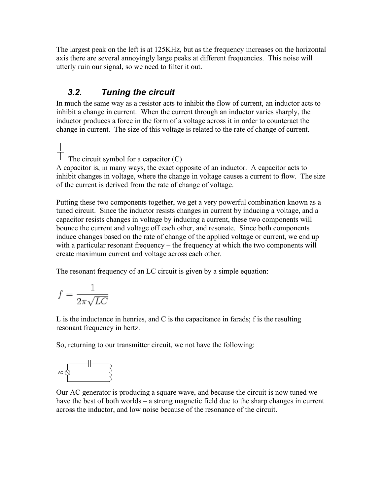The largest peak on the left is at 125KHz, but as the frequency increases on the horizontal axis there are several annoyingly large peaks at different frequencies. This noise will utterly ruin our signal, so we need to filter it out.

### *3.2. Tuning the circuit*

In much the same way as a resistor acts to inhibit the flow of current, an inductor acts to inhibit a change in current. When the current through an inductor varies sharply, the inductor produces a force in the form of a voltage across it in order to counteract the change in current. The size of this voltage is related to the rate of change of current.

 $\frac{1}{\sqrt{2}}$  The circuit symbol for a capacitor (C) A capacitor is, in many ways, the exact opposite of an inductor. A capacitor acts to inhibit changes in voltage, where the change in voltage causes a current to flow. The size of the current is derived from the rate of change of voltage.

Putting these two components together, we get a very powerful combination known as a tuned circuit. Since the inductor resists changes in current by inducing a voltage, and a capacitor resists changes in voltage by inducing a current, these two components will bounce the current and voltage off each other, and resonate. Since both components induce changes based on the rate of change of the applied voltage or current, we end up with a particular resonant frequency – the frequency at which the two components will create maximum current and voltage across each other.

The resonant frequency of an LC circuit is given by a simple equation:

$$
f = \frac{1}{2\pi\sqrt{LC}}
$$

L is the inductance in henries, and C is the capacitance in farads; f is the resulting resonant frequency in hertz.

So, returning to our transmitter circuit, we not have the following:

$$
\mathsf{ac} \bigotimes \leftarrow \leftarrow
$$

Our AC generator is producing a square wave, and because the circuit is now tuned we have the best of both worlds – a strong magnetic field due to the sharp changes in current across the inductor, and low noise because of the resonance of the circuit.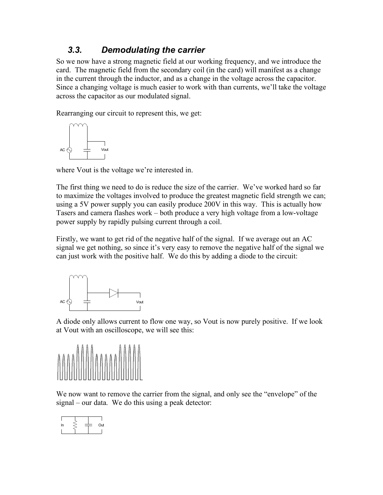### *3.3. Demodulating the carrier*

So we now have a strong magnetic field at our working frequency, and we introduce the card. The magnetic field from the secondary coil (in the card) will manifest as a change in the current through the inductor, and as a change in the voltage across the capacitor. Since a changing voltage is much easier to work with than currents, we'll take the voltage across the capacitor as our modulated signal.

Rearranging our circuit to represent this, we get:



where Vout is the voltage we're interested in.

The first thing we need to do is reduce the size of the carrier. We've worked hard so far to maximize the voltages involved to produce the greatest magnetic field strength we can; using a 5V power supply you can easily produce 200V in this way. This is actually how Tasers and camera flashes work – both produce a very high voltage from a low-voltage power supply by rapidly pulsing current through a coil.

Firstly, we want to get rid of the negative half of the signal. If we average out an AC signal we get nothing, so since it's very easy to remove the negative half of the signal we can just work with the positive half. We do this by adding a diode to the circuit:



A diode only allows current to flow one way, so Vout is now purely positive. If we look at Vout with an oscilloscope, we will see this:



We now want to remove the carrier from the signal, and only see the "envelope" of the signal – our data. We do this using a peak detector:

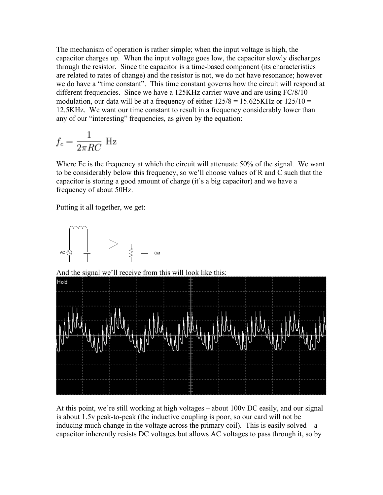The mechanism of operation is rather simple; when the input voltage is high, the capacitor charges up. When the input voltage goes low, the capacitor slowly discharges through the resistor. Since the capacitor is a time-based component (its characteristics are related to rates of change) and the resistor is not, we do not have resonance; however we do have a "time constant". This time constant governs how the circuit will respond at different frequencies. Since we have a 125KHz carrier wave and are using FC/8/10 modulation, our data will be at a frequency of either  $125/8 = 15.625$ KHz or  $125/10 =$ 12.5KHz. We want our time constant to result in a frequency considerably lower than any of our "interesting" frequencies, as given by the equation:

$$
f_c = \frac{1}{2\pi RC} \text{ Hz}
$$

Where Fc is the frequency at which the circuit will attenuate 50% of the signal. We want to be considerably below this frequency, so we'll choose values of R and C such that the capacitor is storing a good amount of charge (it's a big capacitor) and we have a frequency of about 50Hz.

Putting it all together, we get:



And the signal we'll receive from this will look like this:



At this point, we're still working at high voltages – about 100v DC easily, and our signal is about 1.5v peak-to-peak (the inductive coupling is poor, so our card will not be inducing much change in the voltage across the primary coil). This is easily solved  $-a$ capacitor inherently resists DC voltages but allows AC voltages to pass through it, so by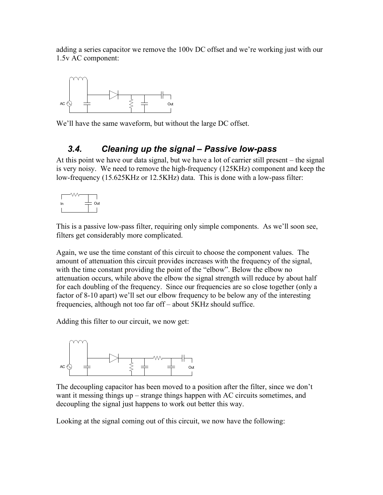adding a series capacitor we remove the 100v DC offset and we're working just with our 1.5v AC component:



We'll have the same waveform, but without the large DC offset.

### *3.4. Cleaning up the signal – Passive low-pass*

At this point we have our data signal, but we have a lot of carrier still present – the signal is very noisy. We need to remove the high-frequency (125KHz) component and keep the low-frequency (15.625KHz or 12.5KHz) data. This is done with a low-pass filter:



This is a passive low-pass filter, requiring only simple components. As we'll soon see, filters get considerably more complicated.

Again, we use the time constant of this circuit to choose the component values. The amount of attenuation this circuit provides increases with the frequency of the signal, with the time constant providing the point of the "elbow". Below the elbow no attenuation occurs, while above the elbow the signal strength will reduce by about half for each doubling of the frequency. Since our frequencies are so close together (only a factor of 8-10 apart) we'll set our elbow frequency to be below any of the interesting frequencies, although not too far off – about 5KHz should suffice.

Adding this filter to our circuit, we now get:



The decoupling capacitor has been moved to a position after the filter, since we don't want it messing things up – strange things happen with AC circuits sometimes, and decoupling the signal just happens to work out better this way.

Looking at the signal coming out of this circuit, we now have the following: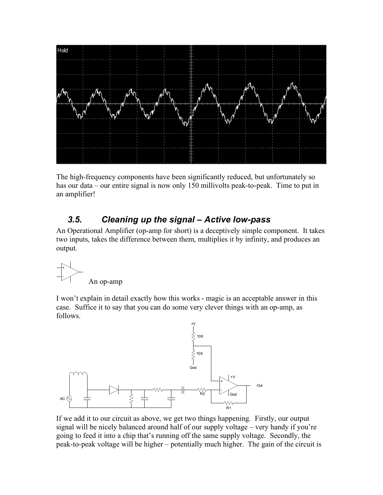

The high-frequency components have been significantly reduced, but unfortunately so has our data – our entire signal is now only 150 millivolts peak-to-peak. Time to put in an amplifier!

### *3.5. Cleaning up the signal – Active low-pass*

An Operational Amplifier (op-amp for short) is a deceptively simple component. It takes two inputs, takes the difference between them, multiplies it by infinity, and produces an output.

$$
\begin{array}{c}\n\hline\n\end{array}
$$
 An op-amp

I won't explain in detail exactly how this works - magic is an acceptable answer in this case. Suffice it to say that you can do some very clever things with an op-amp, as follows.



If we add it to our circuit as above, we get two things happening. Firstly, our output signal will be nicely balanced around half of our supply voltage – very handy if you're going to feed it into a chip that's running off the same supply voltage. Secondly, the peak-to-peak voltage will be higher – potentially much higher. The gain of the circuit is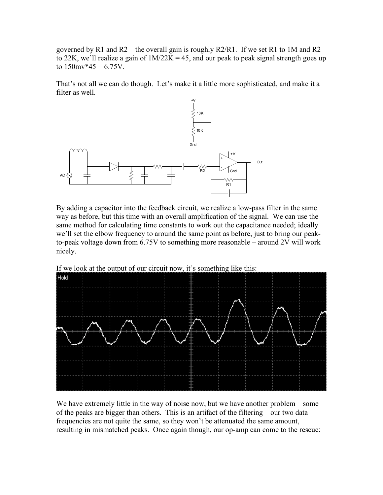governed by R1 and R2 – the overall gain is roughly  $R2/R1$ . If we set R1 to 1M and R2 to 22K, we'll realize a gain of  $1M/22K = 45$ , and our peak to peak signal strength goes up to  $150$ mv\*45 = 6.75V.

That's not all we can do though. Let's make it a little more sophisticated, and make it a filter as well.



By adding a capacitor into the feedback circuit, we realize a low-pass filter in the same way as before, but this time with an overall amplification of the signal. We can use the same method for calculating time constants to work out the capacitance needed; ideally we'll set the elbow frequency to around the same point as before, just to bring our peakto-peak voltage down from 6.75V to something more reasonable – around 2V will work nicely.



If we look at the output of our circuit now, it's something like this:

We have extremely little in the way of noise now, but we have another problem – some of the peaks are bigger than others. This is an artifact of the filtering – our two data frequencies are not quite the same, so they won't be attenuated the same amount, resulting in mismatched peaks. Once again though, our op-amp can come to the rescue: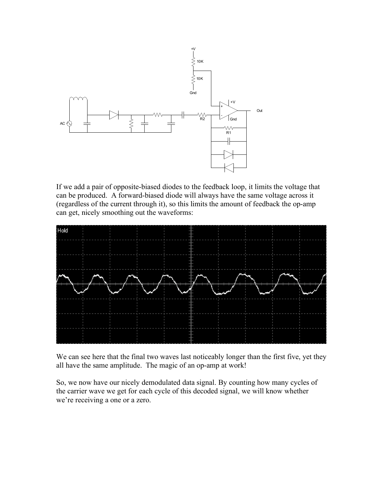

If we add a pair of opposite-biased diodes to the feedback loop, it limits the voltage that can be produced. A forward-biased diode will always have the same voltage across it (regardless of the current through it), so this limits the amount of feedback the op-amp can get, nicely smoothing out the waveforms:



We can see here that the final two waves last noticeably longer than the first five, yet they all have the same amplitude. The magic of an op-amp at work!

So, we now have our nicely demodulated data signal. By counting how many cycles of the carrier wave we get for each cycle of this decoded signal, we will know whether we're receiving a one or a zero.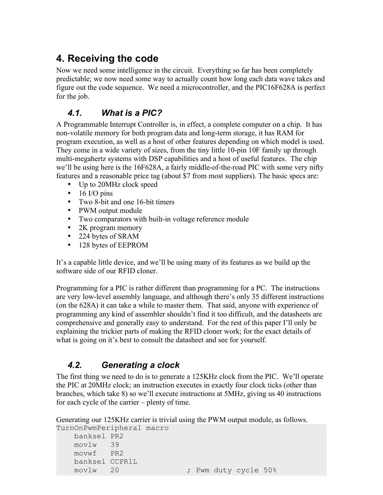# **4. Receiving the code**

Now we need some intelligence in the circuit. Everything so far has been completely predictable; we now need some way to actually count how long each data wave takes and figure out the code sequence. We need a microcontroller, and the PIC16F628A is perfect for the job.

### *4.1. What is a PIC?*

A Programmable Interrupt Controller is, in effect, a complete computer on a chip. It has non-volatile memory for both program data and long-term storage, it has RAM for program execution, as well as a host of other features depending on which model is used. They come in a wide variety of sizes, from the tiny little 10-pin 10F family up through multi-megahertz systems with DSP capabilities and a host of useful features. The chip we'll be using here is the 16F628A, a fairly middle-of-the-road PIC with some very nifty features and a reasonable price tag (about \$7 from most suppliers). The basic specs are:

- Up to 20MHz clock speed
- $\bullet$  16 I/O pins
- Two 8-bit and one 16-bit timers
- PWM output module
- Two comparators with built-in voltage reference module
- 2K program memory
- 224 bytes of SRAM
- 128 bytes of EEPROM

It's a capable little device, and we'll be using many of its features as we build up the software side of our RFID cloner.

Programming for a PIC is rather different than programming for a PC. The instructions are very low-level assembly language, and although there's only 35 different instructions (on the 628A) it can take a while to master them. That said, anyone with experience of programming any kind of assembler shouldn't find it too difficult, and the datasheets are comprehensive and generally easy to understand. For the rest of this paper I'll only be explaining the trickier parts of making the RFID cloner work; for the exact details of what is going on it's best to consult the datasheet and see for yourself.

### *4.2. Generating a clock*

The first thing we need to do is to generate a 125KHz clock from the PIC. We'll operate the PIC at 20MHz clock; an instruction executes in exactly four clock ticks (other than branches, which take 8) so we'll execute instructions at 5MHz, giving us 40 instructions for each cycle of the carrier – plenty of time.

Generating our 125KHz carrier is trivial using the PWM output module, as follows. TurnOnPwmPeripheral macro

```
 banksel PR2
 movlw 39
 movwf PR2
 banksel CCPR1L
movlw 20 ; Pwm duty cycle 50%
```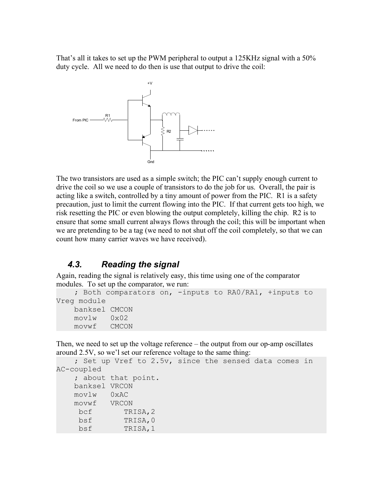That's all it takes to set up the PWM peripheral to output a 125KHz signal with a 50% duty cycle. All we need to do then is use that output to drive the coil:



The two transistors are used as a simple switch; the PIC can't supply enough current to drive the coil so we use a couple of transistors to do the job for us. Overall, the pair is acting like a switch, controlled by a tiny amount of power from the PIC. R1 is a safety precaution, just to limit the current flowing into the PIC. If that current gets too high, we risk resetting the PIC or even blowing the output completely, killing the chip. R2 is to ensure that some small current always flows through the coil; this will be important when we are pretending to be a tag (we need to not shut off the coil completely, so that we can count how many carrier waves we have received).

### *4.3. Reading the signal*

Again, reading the signal is relatively easy, this time using one of the comparator modules. To set up the comparator, we run:

```
 ; Both comparators on, -inputs to RA0/RA1, +inputs to 
Vreg module
    banksel CMCON
     movlw 0x02
     movwf CMCON
```
Then, we need to set up the voltage reference – the output from our op-amp oscillates around 2.5V, so we'l set our reference voltage to the same thing:

```
 ; Set up Vref to 2.5v, since the sensed data comes in 
AC-coupled
    ; about that point.
    banksel VRCON
    movlw 0xAC
    movwf VRCON 
    bcf TRISA,2
    bsf TRISA,0
    bsf TRISA,1
```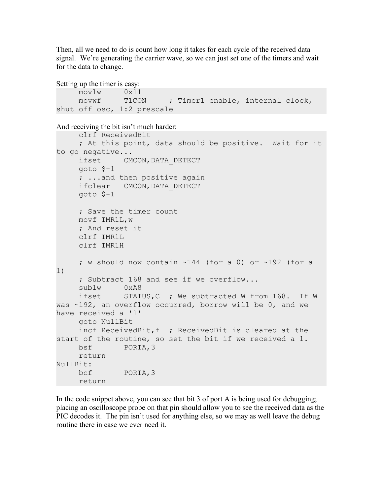Then, all we need to do is count how long it takes for each cycle of the received data signal. We're generating the carrier wave, so we can just set one of the timers and wait for the data to change.

```
Setting up the timer is easy:
And receiving the bit isn't much harder:
    movlw 0x11
    movwf T1CON ; Timer1 enable, internal clock,
shut off osc, 1:2 prescale
     clrf ReceivedBit
     ; At this point, data should be positive. Wait for it 
to go negative...
     ifset CMCON,DATA_DETECT
     goto $-1
     ; ...and then positive again
     ifclear CMCON, DATA DETECT
     goto $-1
     ; Save the timer count
    movf TMR1L,w
     ; And reset it
    clrf TMR1L
     clrf TMR1H
     ; w should now contain ~144 (for a 0) or ~192 (for a 
1)
     ; Subtract 168 and see if we overflow...
     sublw 0xA8
     ifset STATUS,C ; We subtracted W from 168. If W 
was ~192, an overflow occurred, borrow will be 0, and we 
have received a '1' 
     goto NullBit
     incf ReceivedBit,f ; ReceivedBit is cleared at the 
start of the routine, so set the bit if we received a 1.
    bsf PORTA,3
     return
NullBit:
    bcf PORTA,3
     return
```
In the code snippet above, you can see that bit 3 of port A is being used for debugging; placing an oscilloscope probe on that pin should allow you to see the received data as the PIC decodes it. The pin isn't used for anything else, so we may as well leave the debug routine there in case we ever need it.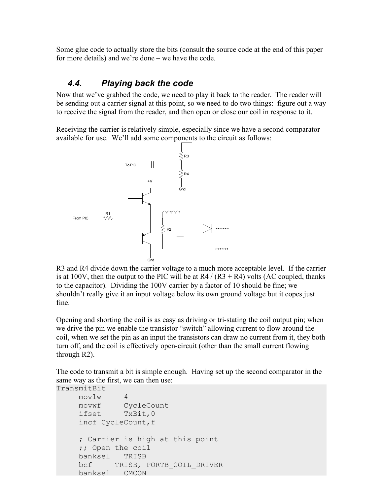Some glue code to actually store the bits (consult the source code at the end of this paper for more details) and we're done – we have the code.

### *4.4. Playing back the code*

Now that we've grabbed the code, we need to play it back to the reader. The reader will be sending out a carrier signal at this point, so we need to do two things: figure out a way to receive the signal from the reader, and then open or close our coil in response to it.

Receiving the carrier is relatively simple, especially since we have a second comparator available for use. We'll add some components to the circuit as follows:



R3 and R4 divide down the carrier voltage to a much more acceptable level. If the carrier is at 100V, then the output to the PIC will be at  $R4 / (R3 + R4)$  volts (AC coupled, thanks to the capacitor). Dividing the 100V carrier by a factor of 10 should be fine; we shouldn't really give it an input voltage below its own ground voltage but it copes just fine.

Opening and shorting the coil is as easy as driving or tri-stating the coil output pin; when we drive the pin we enable the transistor "switch" allowing current to flow around the coil, when we set the pin as an input the transistors can draw no current from it, they both turn off, and the coil is effectively open-circuit (other than the small current flowing through R2).

The code to transmit a bit is simple enough. Having set up the second comparator in the same way as the first, we can then use:

```
TransmitBit
    movlw 4
    movwf CycleCount
    ifset TxBit,0
    incf CycleCount,f
    ; Carrier is high at this point
    ;; Open the coil
    banksel TRISB
    bcf TRISB, PORTB_COIL_DRIVER
    banksel CMCON
```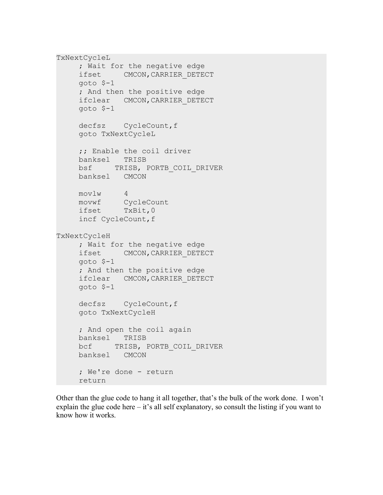```
TxNextCycleL
    ; Wait for the negative edge
    ifset CMCON,CARRIER_DETECT
    goto $-1
    ; And then the positive edge
    ifclear CMCON,CARRIER_DETECT
    goto $-1
    decfsz CycleCount, f
    goto TxNextCycleL
    ;; Enable the coil driver
    banksel TRISB
    bsf TRISB, PORTB_COIL_DRIVER
    banksel CMCON
    movlw 4
    movwf CycleCount
    ifset TxBit,0
    incf CycleCount,f
TxNextCycleH
    ; Wait for the negative edge
    ifset CMCON,CARRIER_DETECT
    goto $-1
    ; And then the positive edge
    ifclear CMCON,CARRIER_DETECT
    goto $-1
    decfsz CycleCount, f
    goto TxNextCycleH
    ; And open the coil again
    banksel TRISB
    bcf TRISB, PORTB COIL DRIVER
    banksel CMCON
    ; We're done - return
    return
```
Other than the glue code to hang it all together, that's the bulk of the work done. I won't explain the glue code here  $-$  it's all self explanatory, so consult the listing if you want to know how it works.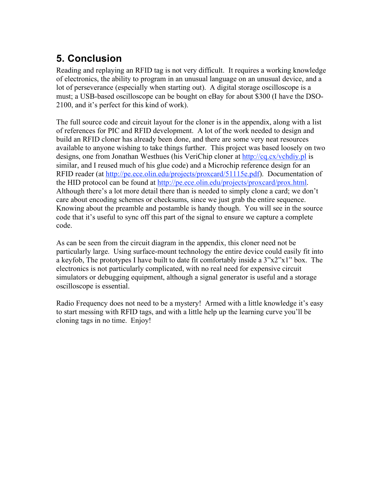# **5. Conclusion**

Reading and replaying an RFID tag is not very difficult. It requires a working knowledge of electronics, the ability to program in an unusual language on an unusual device, and a lot of perseverance (especially when starting out). A digital storage oscilloscope is a must; a USB-based oscilloscope can be bought on eBay for about \$300 (I have the DSO-2100, and it's perfect for this kind of work).

The full source code and circuit layout for the cloner is in the appendix, along with a list of references for PIC and RFID development. A lot of the work needed to design and build an RFID cloner has already been done, and there are some very neat resources available to anyone wishing to take things further. This project was based loosely on two designs, one from Jonathan Westhues (his VeriChip cloner at http://cq.cx/vchdiy.pl is similar, and I reused much of his glue code) and a Microchip reference design for an RFID reader (at http://pe.ece.olin.edu/projects/proxcard/51115e.pdf). Documentation of the HID protocol can be found at http://pe.ece.olin.edu/projects/proxcard/prox.html. Although there's a lot more detail there than is needed to simply clone a card; we don't care about encoding schemes or checksums, since we just grab the entire sequence. Knowing about the preamble and postamble is handy though. You will see in the source code that it's useful to sync off this part of the signal to ensure we capture a complete code.

As can be seen from the circuit diagram in the appendix, this cloner need not be particularly large. Using surface-mount technology the entire device could easily fit into a keyfob, The prototypes I have built to date fit comfortably inside a  $3"x2"x1"$  box. The electronics is not particularly complicated, with no real need for expensive circuit simulators or debugging equipment, although a signal generator is useful and a storage oscilloscope is essential.

Radio Frequency does not need to be a mystery! Armed with a little knowledge it's easy to start messing with RFID tags, and with a little help up the learning curve you'll be cloning tags in no time. Enjoy!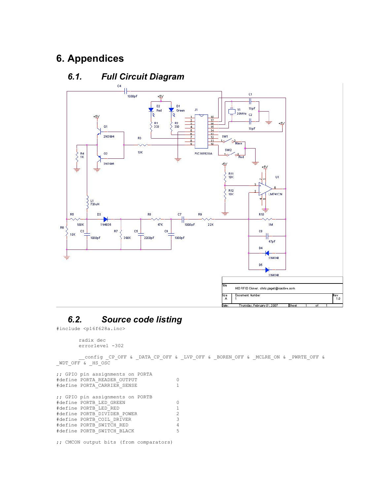## **6. Appendices**



### *6.1. Full Circuit Diagram*

### *6.2. Source code listing*

#include <p16f628a.inc>

```
radix dec
errorlevel -302
```
\_\_config \_CP\_OFF & \_DATA\_CP\_OFF & \_LVP\_OFF & \_BOREN\_OFF & \_MCLRE\_ON & \_PWRTE\_OFF & WDT OFF & HS OSC ;; GPIO pin assignments on PORTA #define PORTA\_READER\_OUTPUT 0 #define PORTA<sup>\_</sup>CARRIER\_SENSE 1 ;; GPIO pin assignments on PORTB

| #define PORTB LED GREEN     | n  |
|-----------------------------|----|
| #define PORTB LED RED       | 1. |
| #define PORTB DIVIDER POWER | 2  |
| #define PORTB COIL DRIVER   | 3  |
| #define PORTB SWITCH RED    | 4  |
| #define PORTB SWITCH BLACK  | 5  |
|                             |    |

;; CMCON output bits (from comparators)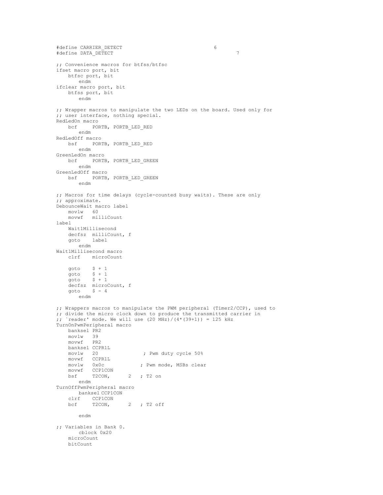```
#define CARRIER_DETECT 6
#define DATA_DETECT 7
;; Convenience macros for btfss/btfsc
ifset macro port, bit
   btfsc port, bit
      endm
ifclear macro port, bit
   btfss port, bit
       endm
;; Wrapper macros to manipulate the two LEDs on the board. Used only for
;; user interface, nothing special.
RedLedOn macro
   bcf PORTB, PORTB_LED_RED
      endm
RedLedOff macro
   bsf PORTB, PORTB_LED_RED
      endm
GreenLedOn macro
   bcf PORTB, PORTB_LED_GREEN
      endm
GreenLedOff macro
   bsf PORTB, PORTB_LED_GREEN
       endm
;; Macros for time delays (cycle-counted busy waits). These are only
;; approximate.
DebounceWait macro label
    movlw 60
    movwf milliCount
label
   Wait1Millisecond
   decfsz milliCount, f<br>goto label
   goto
      endm
Wait1Millisecond macro
          microCount
   goto \begin{array}{cc} \xi + 1 \\ \xi + 1 \end{array}goto $ + 1
    goto $ + 1
   decfsz microCount, f<br>
goto $-4$ - 4endm
;; Wrappers macros to manipulate the PWM peripheral (Timer2/CCP), used to
;; divide the micro clock down to produce the transmitted carrier in
;; `reader' mode. We will use (20 \text{ MHz}) / (4*(39+1)) = 125 \text{ kHz}TurnOnPwmPeripheral macro
   banksel PR2<br>movlw 39
   movlw 39
   movwf PR2
   banksel CCPR1L
                            ; Pwm duty cycle 50%
   movlw 20<br>movwf CCPR1L<br>movlw 0x0c
                           ; Pwm mode, MSBs clear
   movwf CCP1CON<br>bsf T2CON,
                      2 ; T2 on
      endm
TurnOffPwmPeripheral macro
      banksel CCP1CON
   clrf CCP1CON<br>bcf T2CON,
                      2 ; T2 off
       endm
;; Variables in Bank 0.
       cblock 0x20
   microCount
   bitCount
```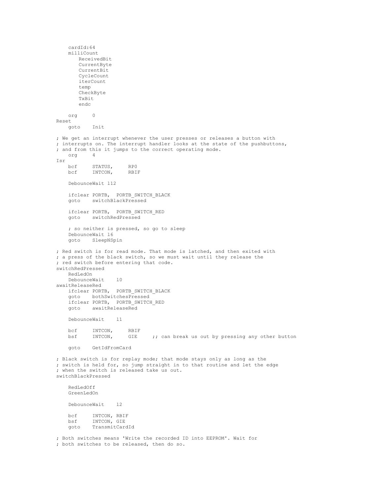cardId:64 milliCount ReceivedBit CurrentByte CurrentBit CycleCount iterCount temp CheckByte TxBit endc org 0 Reset goto Init ; We get an interrupt whenever the user presses or releases a button with ; interrupts on. The interrupt handler looks at the state of the pushbuttons, ; and from this it jumps to the correct operating mode.<br>org 4 org Isr bcf STATUS, RPO<br>bcf INTCON, RBIF INTCON, DebounceWait l12 ifclear PORTB, PORTB\_SWITCH\_BLACK goto switchBlackPressed ifclear PORTB, PORTB\_SWITCH\_RED goto switchRedPressed ; so neither is pressed, so go to sleep DebounceWait l6 goto SleepNSpin ; Red switch is for read mode. That mode is latched, and then exited with ; a press of the black switch, so we must wait until they release the ; red switch before entering that code. switchRedPressed RedLedOn DebounceWait l0 awaitReleaseRed ifclear PORTB, PORTB\_SWITCH\_BLACK goto bothSwitchesPressed ifclear PORTB, PORTB\_SWITCH\_RED<br>goto awaitReleaseRed awaitReleaseRed DebounceWait l1 bcf INTCON, RBIF<br>bsf INTCON, GIE ;; can break us out by pressing any other button goto GetIdFromCard ; Black switch is for replay mode; that mode stays only as long as the ; switch is held for, so jump straight in to that routine and let the edge ; when the switch is released take us out. switchBlackPressed RedLedOff GreenLedOn DebounceWait l2 bcf INTCON, RBIF bsf INTCON, GIE goto TransmitCardId ; Both switches means 'Write the recorded ID into EEPROM'. Wait for ; both switches to be released, then do so.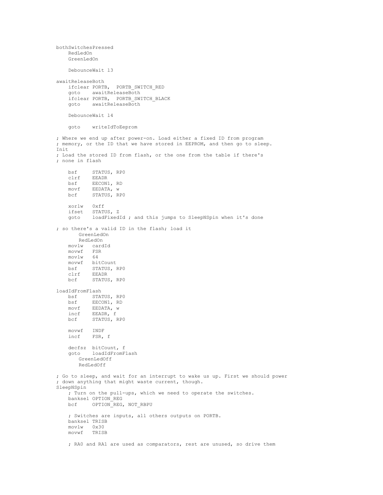```
bothSwitchesPressed
    RedLedOn
    GreenLedOn
    DebounceWait l3
awaitReleaseBoth
    ifclear PORTB, PORTB_SWITCH_RED
    goto awaitReleaseBoth
    ifclear PORTB, PORTB_SWITCH_BLACK
    goto awaitReleaseBoth
    DebounceWait l4
    goto writeIdToEeprom
; Where we end up after power-on. Load either a fixed ID from program
; memory, or the ID that we have stored in EEPROM, and then go to sleep.
Init
; Load the stored ID from flash, or the one from the table if there's
; none in flash
    bsf STATUS, RP0
   clrf EEADR<br>bsf EECON1
           EECON1, RD
    movf EEDATA, w<br>bcf STATUS, R
            STATUS, RP0
    xorlw 0xff
    ifset STATUS, Z
    goto loadFixedId ; and this jumps to SleepNSpin when it's done
; so there's a valid ID in the flash; load it
       GreenLedOn
       RedLedOn
    movlw cardId
    movwf FSR<br>movlw 64
    movlwmovwf bitCount
   bsf STATUS, RPO<br>clrf EEADR
    clrf EEADR<br>bcf STATUS
           STATUS, RPO
loadIdFromFlash
    bsf STATUS, RPO<br>bsf EECON1, RD
    bsf EECON1, RD<br>movf EEDATA, w
    movf EEDATA, w<br>incf EEADR, f
            EEADR, f
    bcf STATUS, RP0
    movwf INDF<br>incf FSR,
            FSR, f
    decfsz bitCount, f
    goto loadIdFromFlash
       GreenLedOff
       RedLedOff
; Go to sleep, and wait for an interrupt to wake us up. First we should power
; down anything that might waste current, though.
SleepNSpin
    ; Turn on the pull-ups, which we need to operate the switches.
    banksel OPTION_REG
    bcf OPTION<sup>REG</sup>, NOT RBPU
    ; Switches are inputs, all others outputs on PORTB.
    banksel TRISB
    movlw 0x30<br>movwf TRISH
           TRISB
    ; RA0 and RA1 are used as comparators, rest are unused, so drive them
```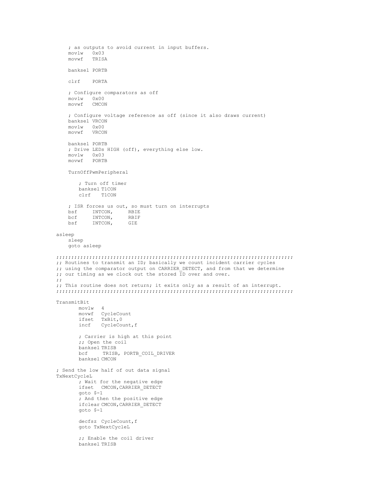```
; as outputs to avoid current in input buffers.<br>movlw 0x03
    movlw<br>movwf
          TRISA
    banksel PORTB
    clrf PORTA
    ; Configure comparators as off<br>moviw 0x00
    m \cap v^1wmovwf CMCON
    ; Configure voltage reference as off (since it also draws current)
    banksel VRCON
    movlw 0x00
    movwf VRCON
    banksel PORTB
    ; Drive LEDs HIGH (off), everything else low.
    movlwmovwf PORTB
    TurnOffPwmPeripheral
       ; Turn off timer
       banksel T1CON
       clrf T1CON
    ; ISR forces us out, so must turn on interrupts
    bsf INTCON, RBIE
    bcf INTCON, RBIF<br>bsf INTCON, GIE
          INTCON,
asleep
   sleep
    goto asleep
;;;;;;;;;;;;;;;;;;;;;;;;;;;;;;;;;;;;;;;;;;;;;;;;;;;;;;;;;;;;;;;;;;;;;;;;;;;;;;;
;; Routines to transmit an ID; basically we count incident carrier cycles
;; using the comparator output on CARRIER_DETECT, and from that we determine
;; our timing as we clock out the stored ID over and over.
;;
;; This routine does not return; it exits only as a result of an interrupt.
;;;;;;;;;;;;;;;;;;;;;;;;;;;;;;;;;;;;;;;;;;;;;;;;;;;;;;;;;;;;;;;;;;;;;;;;;;;;;;;
TransmitBit
       movlw 4
        movwf CycleCount
        ifset TxBit,0
       incf CycleCount,f
       ; Carrier is high at this point
       ;; Open the coil
       banksel TRISB
               TRISB, PORTB COIL DRIVER
       banksel CMCON
; Send the low half of out data signal
TxNextCycleL
       ; Wait for the negative edge
       ifset CMCON,CARRIER_DETECT
       goto $-1
        ; And then the positive edge
       ifclear CMCON,CARRIER_DETECT
       goto $-1
       decfsz CycleCount, f
       goto TxNextCycleL
       ;; Enable the coil driver
       banksel TRISB
```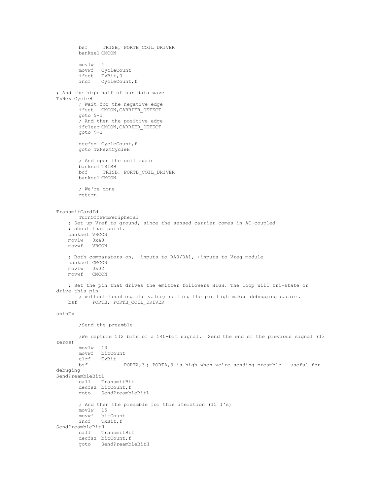```
bsf TRISB, PORTB_COIL_DRIVER
       banksel CMCON
       movlw 4
       movwf CycleCount
       ifset TxBit,0
       incf CycleCount,f
; And the high half of our data wave
TxNextCycleH
       ; Wait for the negative edge
       ifset CMCON,CARRIER_DETECT
       goto $-1
       ; And then the positive edge
       ifclear CMCON,CARRIER_DETECT
       goto $-1
       decfsz CycleCount, f
       goto TxNextCycleH
       ; And open the coil again
       banksel TRISB
       bcf TRISB, PORTB_COIL_DRIVER
       banksel CMCON
       ; We're done
       return
TransmitCardId
       TurnOffPwmPeripheral
    ; Set up Vref to ground, since the sensed carrier comes in AC-coupled
    ; about that point.
   banksel VRCON
   movlw 0xa0
   movwf VRCON
   ; Both comparators on, -inputs to RA0/RA1, +inputs to Vreg module
   banksel CMCON
   movlw 0x02<br>movwf CMCOM
          CMCON
   ; Set the pin that drives the emitter followers HIGH. The loop will tri-state or
drive this pin
    ; without touching its value; setting the pin high makes debugging easier.
          PORTB, PORTB COIL DRIVER
spinTx
       ;Send the preamble
       ;We capture 512 bits of a 540-bit signal. Send the end of the previous signal (13
zeros)
       movlw 13<br>movwf bit
              bitCount
       clrf TxBit<br>bsf
                      PORTA, 3; PORTA, 3 is high when we're sending preamble - useful for
debuging
SendPreambleBitL
      call TransmitBit
       decfsz bitCount, f
       goto SendPreambleBitL
       ; And then the preamble for this iteration (15 1's)
       movlw 15
       movwf bitCount
       incf TxBit,f
SendPreambleBitH
       call TransmitBit
       decfsz bitCount,f
       goto SendPreambleBitH
```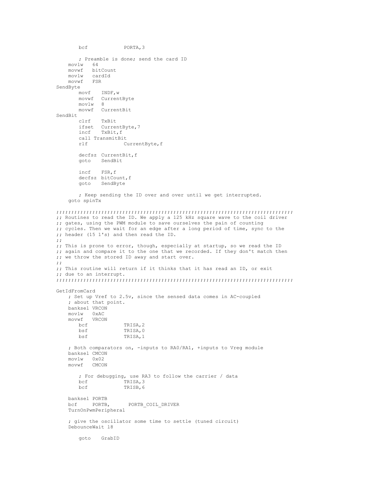```
bcf PORTA,3
       ; Preamble is done; send the card ID
    movlw 64
    movwf bitCount<br>movlw cardId
           cardId
   movwf FSR
SendByte
        movf INDF,w
        movwf CurrentByte
       movlw 8
       movwf CurrentBit
SendBit<br>clrf
              clrf TxBit
       ifset CurrentByte,7<br>incf TxBit.f
              TxBit,f
       call TransmitBit<br>rlf C
                      CurrentByte, f
       decfsz CurrentBit, f
       goto SendBit
       incf FSR,f
       decfsz bitCount,f
       goto SendByte
       ; Keep sending the ID over and over until we get interrupted.
    goto spinTx
;;;;;;;;;;;;;;;;;;;;;;;;;;;;;;;;;;;;;;;;;;;;;;;;;;;;;;;;;;;;;;;;;;;;;;;;;;;;;;;
;; Routines to read the ID. We apply a 125 kHz square wave to the coil driver
;; gates, using the PWM module to save ourselves the pain of counting
;; cycles. Then we wait for an edge after a long period of time, sync to the
;; header (15 1's) and then read the ID.
;;
;; This is prone to error, though, especially at startup, so we read the ID
;; again and compare it to the one that we recorded. If they don't match then
;; we throw the stored ID away and start over.
;;
;; This routine will return if it thinks that it has read an ID, or exit
;; due to an interrupt.
;;;;;;;;;;;;;;;;;;;;;;;;;;;;;;;;;;;;;;;;;;;;;;;;;;;;;;;;;;;;;;;;;;;;;;;;;;;;;;;
GetIdFromCard
    ; Set up Vref to 2.5v, since the sensed data comes in AC-coupled
    ; about that point.
   banksel VRCON
    movlw 0xAC
    movwf VRCON
                      TRISA, 2
       bsf TRISA, 0<br>bsf TRISA, 1
                       TRISA, 1
    ; Both comparators on, -inputs to RA0/RA1, +inputs to Vreg module
    banksel CMCON
    movlw 0x02
    movwf CMCON
       ; For debugging, use RA3 to follow the carrier / data
       bcf TRISA, 3<br>bcf TRISB, 6
                      TRISB, 6
    banksel PORTB
                        PORTB COIL DRIVER
    TurnOnPwmPeripheral
    ; give the oscillator some time to settle (tuned circuit)
    DebounceWait l8
       goto GrabID
```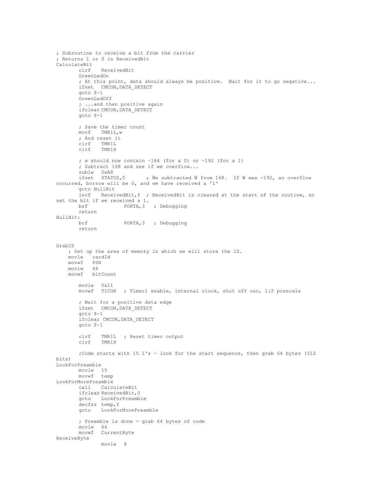```
; Subroutine to receive a bit from the carrier
; Returns 1 or 0 in ReceivedBit
CalculateBit
       clrf ReceivedBit
       GreenLedOn
       ; At this point, data should always be positive. Wait for it to go negative...
       ifset CMCON,DATA_DETECT
       goto $-1
       GreenLedOff
       ; ...and then positive again
       ifclear CMCON, DATA DETECT
       goto $-1
       ; Save the timer count
       movf TMR1L,w
       ; And reset it
       clrf TMR1L
       clrf TMR1H
       ; w should now contain ~144 (for a 0) or ~192 (for a 1)
       ; Subtract 168 and see if we overflow...
       sublw 0xA8<br>ifset STATUS,C
                            ; We subtracted W from 168. If W was ~192, an overflow
occurred, borrow will be 0, and we have received a '1'
       goto NullBit
       incf ReceivedBit,f ; ReceivedBit is cleared at the start of the routine, so
set the bit if we received a 1.<br>bsf PORTA, 3
                     PORTA, 3 ; Debugging
       return
NullBit:
                     PORTA, 3 ; Debugging
       return
GrabID
   ; Set up the area of memory in which we will store the ID.
          cardId
   movwf FSR
    movlw 64
    movwf bitCount
       movlw 0x11
       movwf T1CON ; Timer1 enable, internal clock, shut off osc, 1:2 prescale
       ; Wait for a positive data edge
       ifset CMCON,DATA_DETECT
       goto $-1
       ifclear CMCON,DATA_DETECT
       goto $-1
       clrf TMR1L ; Reset timer output
       clrf TMR1H
       ;Code starts with 15 1's - look for the start sequence, then grab 64 bytes (512
hifs)LookForPreamble
        movlw 15
        movwf temp
LookForMorePreamble
       call CalculateBit
       ifclear ReceivedBit,0
       goto LookForPreamble
       decfsz temp,f
       goto LookForMorePreamble
       ; Preamble is done - grab 64 bytes of code
       movlw 64
       movwf CurrentByte
ReceiveByte
              movlw 8
```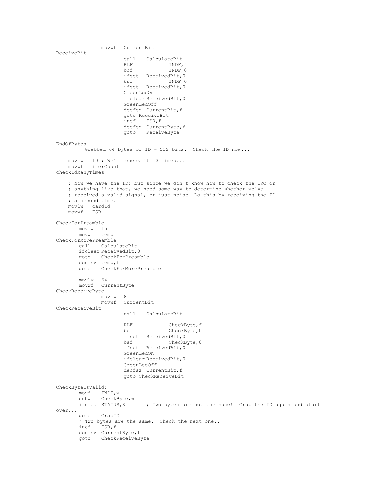```
movwf CurrentBit
ReceiveBit
                     call CalculateBit<br>RLF INDF,
                     RLF INDF, f<br>bcf INDF.0
                                    INDF, 0
                     ifset ReceivedBit, 0<br>bsf TNDF.0
                             bsf INDF,0
                      ifset ReceivedBit,0
                      GreenLedOn
                      ifclear ReceivedBit,0
                     GreenLedOff
                      decfsz CurrentBit, f
                      goto ReceiveBit
                      incf FSR,f
                      decfsz CurrentByte,f
                      goto ReceiveByte
EndOfBytes
      ; Grabbed 64 bytes of ID - 512 bits. Check the ID now...
   movlw 10 ; We'll check it 10 times...
   movwf iterCount
checkIdManyTimes
   ; Now we have the ID; but since we don't know how to check the CRC or
   ; anything like that, we need some way to determine whether we've
   ; received a valid signal, or just noise. Do this by receiving the ID
   ; a second time.
   movlw cardId
   movwf FSR
CheckForPreamble
       movlw 15
       movwf temp
CheckForMorePreamble
       call CalculateBit
       ifclear ReceivedBit,0
       goto CheckForPreamble
       decfsz temp,f
       goto CheckForMorePreamble
       movlw 64
      movwf CurrentByte
CheckReceiveByte
              movlw 8
              movwf CurrentBit
CheckReceiveBit
                     call CalculateBit
                     RLF CheckByte, f
                     bcf CheckByte, 0
                     ifset ReceivedBit, 0<br>bsf CheckB
                                   CheckByte, 0
                      ifset ReceivedBit,0
                      GreenLedOn
                     ifclear ReceivedBit,0
                     GreenLedOff
                     decfsz CurrentBit,f
                      goto CheckReceiveBit
CheckByteIsValid:
       movf INDF,w
       subwf CheckByte, w
       ifclear STATUS,Z ; Two bytes are not the same! Grab the ID again and start
over...
       goto GrabID
       ; Two bytes are the same. Check the next one..
       incf FSR,f
       decfsz CurrentByte,f
       goto CheckReceiveByte
```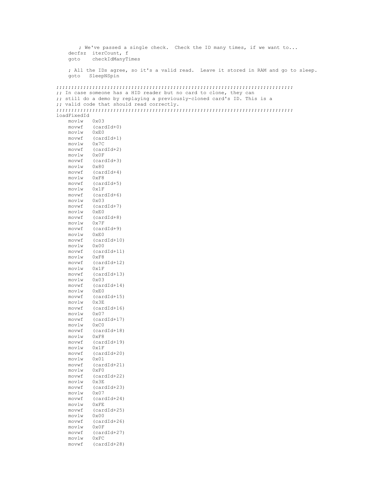```
; We've passed a single check. Check the ID many times, if we want to...
     decfsz iterCount, f
     goto checkIdManyTimes
     ; All the IDs agree, so it's a valid read. Leave it stored in RAM and go to sleep.
     goto SleepNSpin
;;;;;;;;;;;;;;;;;;;;;;;;;;;;;;;;;;;;;;;;;;;;;;;;;;;;;;;;;;;;;;;;;;;;;;;;;;;;;;;
;; In case someone has a HID reader but no card to clone, they can
;; still do a demo by replaying a previously-cloned card's ID. This is a
;; valid code that should read correctly.
;;;;;;;;;;;;;;;;;;;;;;;;;;;;;;;;;;;;;;;;;;;;;;;;;;;;;;;;;;;;;;;;;;;;;;;;;;;;;;;
loadFixedId<br>movlw 0x03
    movlw<br>movwf(cardId+0)<br>0xE0
     movlwmovwf (cardId+1)<br>movlw 0x7C
    movlwmovwf (cardId+2)<br>movlw 0x0F
    movlw<br>movwf
               (\text{cardId}+3)<br>0 \times 80movlw<br>movwf
               (\text{cardId}+4)movlw<br>movwf
                (cardId+5)movlw 0x1F<br>movwf (card
                (cardId+6)movlw 0x03<br>movwf (car
                (\text{cardId}+7)movlw 0xE0
     movwf (cardId+8)<br>movlw 0x7F
    movlw
     movwf (cardId+9)<br>movlw 0xE0
     movlwmovwf (cardId+10)<br>movlw 0x00
    movlw<br>movwf
               (cardId+11)<br>0xF8
    movlw<br>movwf
                (cardId+12)movlw 0x1F<br>movwf (card
                (cardId+13)movlw 0x03<br>movwf (car
     movwf (\text{cardId}+14)<br>movlw 0 \times F0movlw 0xE0<br>movwf (card
               (cardId+15)<br>0x3E
    movlwf\begin{array}{c} {\rm (cardId+16)}\\ 0x07 \end{array}movlwmovwf (cardId+17)<br>movlw 0xC0
    movlw<br>movwf
                (cardId+18)<br>0xF8
    movlw<br>movwf
                (cardId+19)movlw 0x1F<br>movwf (card
                (cardId+20)movlw 0x01<br>movwf (car
               (\text{cardId}+21)movlw<br>movwf
               (\text{cardId}+22)<br>0 \times 3Emovlw<br>movwf
                (\text{cardId}+23)<br>0 \times 07movlwmovwf (cardId+24)<br>movlw 0xFE
    movlw<br>movwf
                (\text{cardId}+25)<br>0 \times 00movlw<br>movwf
                (cardId+26)movlw 0x0F<br>movwf (card
                (cardId+27)movlw 0xFC
     movwf (cardId+28)
```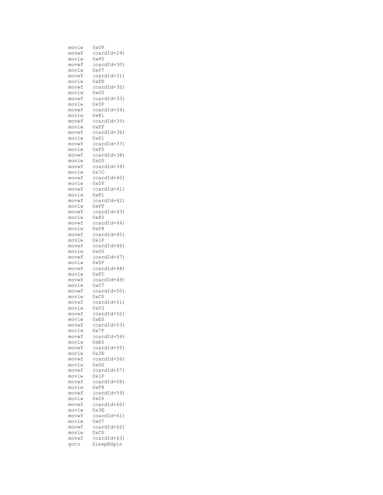| movlw          | $0\times 0$ F                  |
|----------------|--------------------------------|
| movwf          | $(cardId+29)$                  |
| movlw          | 0x80                           |
| movwf          | $(cardId+30)$                  |
| movlw          | $0\times07$                    |
| movwf          | $(cardId+31)$                  |
| movlw          | 0xFE                           |
| movwf<br>movlw | $(cardId+32)$<br>$0 \times 00$ |
| movwf          | $(cardId+33)$                  |
| movlw          | 0x0F                           |
| movwf          | $(cardId+34)$                  |
| movlw          | 0x81                           |
| movwf          | $(cardId+35)$                  |
| movlw          | 0xFF                           |
| movwf          | $(cardId+36)$                  |
| movlw          | 0x81                           |
| movwf          | $(cardId+37)$                  |
| movlw          | 0xF0                           |
| movwf          | $(cardId+38)$                  |
| movlw<br>movwf | 0x00                           |
| movlw          | $(cardId+39)$<br>0x7C          |
| movwf          | $(cardId+40)$                  |
| movlw          | $0\times 0$ F                  |
| movwf          | $(cardId+41)$                  |
| movlw          | $0\times81$                    |
| movwf          | $(cardId+42)$                  |
| movlw          | 0xFF                           |
| movwf          | $(cardId+43)$                  |
| movlw          | 0x80                           |
| movwf          | $(cardId+44)$                  |
| movlw          | 0xF8                           |
| movwf          | $(cardId+45)$<br>0x1F          |
| movlw<br>movwf | $(cardId+46)$                  |
| movlw          | $0\times00$                    |
| movwf          | $(cardId+47)$                  |
| movlw          | $0 \times 0 F$                 |
| movwf          | $(cardId+48)$                  |
| movlw          | $0\times$ FC                   |
| movwf          | $(cardId+49)$                  |
| movlw          | 0x07                           |
| movwf          | $(cardId+50)$                  |
| movlw          | $0 \times C0$                  |
| movwf<br>movlw | $(cardId+51)$<br>0x03          |
| movwf          | $(cardId+52)$                  |
| movlw          | 0xE0                           |
| movwf          | $(cardId+53)$                  |
| movlw          | 0x7F                           |
| movwf          | $(cardId+54)$                  |
| movlw          | 0xE0                           |
| movwf          | $(cardId+55)$                  |
| movlw          | 0x3E                           |
| movwf          | $(cardId+56)$                  |
| movlw          | 0x00                           |
| movwf          | $(cardId+57)$<br>0x1F          |
| movlw<br>movwf | $(cardId+58)$                  |
| movlw          | 0xF8                           |
| movwf          | $(cardId+59)$                  |
| movlw          | 0x00                           |
| movwf          | $(cardId+60)$                  |
| movlw          | 0x3E                           |
| movwf          | $(cardId+61)$                  |
| movlw          | 0x07                           |
| movwf          | $(cardId+62)$                  |
| movlw          | $0 \times C0$                  |
| movwf          | $(cardId+63)$<br>SleepNSpin    |
| goto           |                                |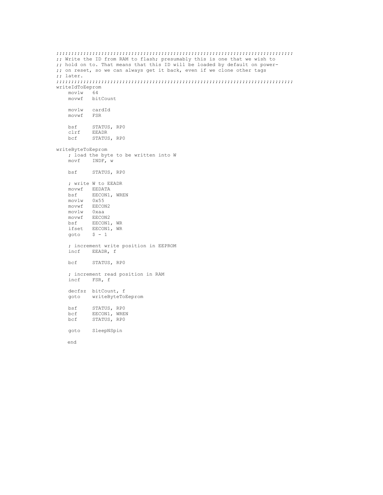```
;;;;;;;;;;;;;;;;;;;;;;;;;;;;;;;;;;;;;;;;;;;;;;;;;;;;;;;;;;;;;;;;;;;;;;;;;;;;;;;
;; Write the ID from RAM to flash; presumably this is one that we wish to
;; hold on to. That means that this ID will be loaded by default on power-
;; on reset, so we can always get it back, even if we clone other tags
;; later.
;;;;;;;;;;;;;;;;;;;;;;;;;;;;;;;;;;;;;;;;;;;;;;;;;;;;;;;;;;;;;;;;;;;;;;;;;;;;;;;
writeIdToEeprom<br>movlw 64
   movlw 64
    movwf bitCount
    movlw cardId<br>movwf FSR
   movwfbsf STATUS, RPO<br>clrf EEADR
    clrf EEADR<br>bcf STATUS
            STATUS, RPO
writeByteToEeprom
    ; load the byte to be written into W
    movf INDF, w
   bsf STATUS, RP0
    ; write W to EEADR
    movwf EEDATA<br>bsf EECON1,
            EECON1, WREN
   movlw 0x55
   movwf EECON2<br>movlw 0xaa
    movlw 0xaa
    movwf EECON2
   bsf EECON1, WR
    ifset EECON1, WR<br>goto $ -1$ - 1; increment write position in EEPROM
    incf EEADR, f
    bcf STATUS, RP0
    ; increment read position in RAM
    incf FSR, f
    decfsz bitCount, f<br>goto writeByteToP
            writeByteToEeprom
    bsf STATUS, RPO<br>bcf EECON1, WREI
    bcf EECON1, WREN
    bcf STATUS, RP0
    goto SleepNSpin
    end
```